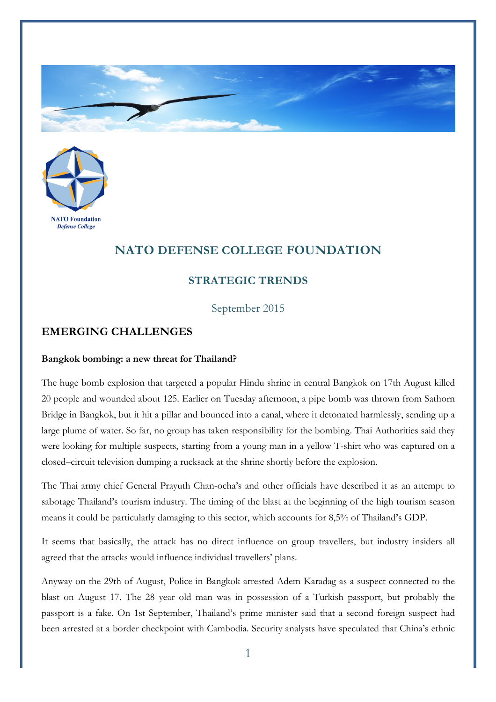



## **NATO DEFENSE COLLEGE FOUNDATION**

## **STRATEGIC TRENDS**

September 2015

## **EMERGING CHALLENGES**

## **Bangkok bombing: a new threat for Thailand?**

The huge bomb explosion that targeted a popular Hindu shrine in central Bangkok on 17th August killed 20 people and wounded about 125. Earlier on Tuesday afternoon, a pipe bomb was thrown from Sathorn Bridge in Bangkok, but it hit a pillar and bounced into a canal, where it detonated harmlessly, sending up a large plume of water. So far, no group has taken responsibility for the bombing. Thai Authorities said they were looking for multiple suspects, starting from a young man in a yellow T-shirt who was captured on a closed–circuit television dumping a rucksack at the shrine shortly before the explosion.

The Thai army chief General Prayuth Chan-ocha's and other officials have described it as an attempt to sabotage Thailand's tourism industry. The timing of the blast at the beginning of the high tourism season means it could be particularly damaging to this sector, which accounts for 8,5% of Thailand's GDP.

It seems that basically, the attack has no direct influence on group travellers, but industry insiders all agreed that the attacks would influence individual travellers' plans.

Anyway on the 29th of August, Police in Bangkok arrested Adem Karadag as a suspect connected to the blast on August 17. The 28 year old man was in possession of a Turkish passport, but probably the passport is a fake. On 1st September, Thailand's prime minister said that a second foreign suspect had been arrested at a border checkpoint with Cambodia. Security analysts have speculated that China's ethnic